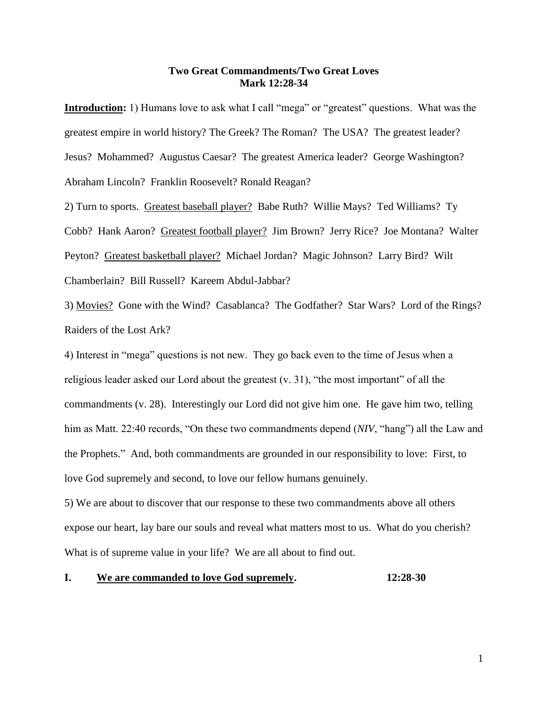## **Two Great Commandments/Two Great Loves Mark 12:28-34**

**Introduction:** 1) Humans love to ask what I call "mega" or "greatest" questions. What was the greatest empire in world history? The Greek? The Roman? The USA? The greatest leader? Jesus? Mohammed? Augustus Caesar? The greatest America leader? George Washington? Abraham Lincoln? Franklin Roosevelt? Ronald Reagan?

2) Turn to sports. Greatest baseball player? Babe Ruth? Willie Mays? Ted Williams? Ty Cobb? Hank Aaron? Greatest football player? Jim Brown? Jerry Rice? Joe Montana? Walter Peyton? Greatest basketball player? Michael Jordan? Magic Johnson? Larry Bird? Wilt Chamberlain? Bill Russell? Kareem Abdul-Jabbar?

3) Movies? Gone with the Wind? Casablanca? The Godfather? Star Wars? Lord of the Rings? Raiders of the Lost Ark?

4) Interest in "mega" questions is not new. They go back even to the time of Jesus when a religious leader asked our Lord about the greatest (v. 31), "the most important" of all the commandments (v. 28). Interestingly our Lord did not give him one. He gave him two, telling him as Matt. 22:40 records, "On these two commandments depend (*NIV*, "hang") all the Law and the Prophets." And, both commandments are grounded in our responsibility to love: First, to love God supremely and second, to love our fellow humans genuinely.

5) We are about to discover that our response to these two commandments above all others expose our heart, lay bare our souls and reveal what matters most to us. What do you cherish? What is of supreme value in your life? We are all about to find out.

## **I. We are commanded to love God supremely. 12:28-30**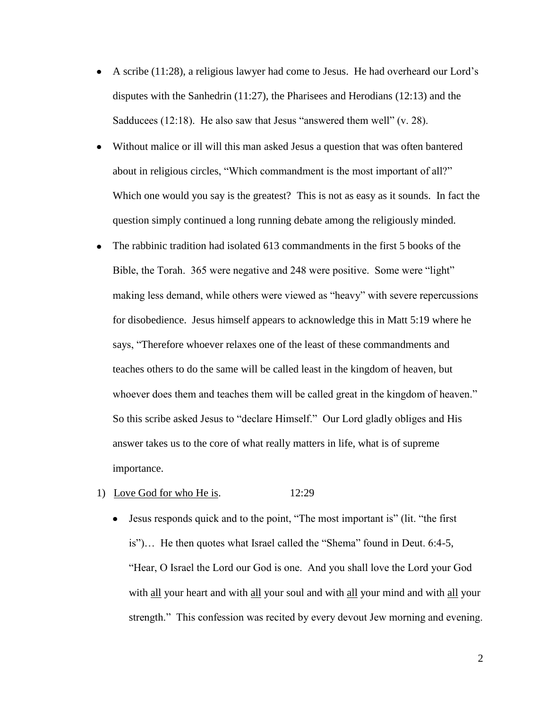- A scribe (11:28), a religious lawyer had come to Jesus. He had overheard our Lord's disputes with the Sanhedrin (11:27), the Pharisees and Herodians (12:13) and the Sadducees (12:18). He also saw that Jesus "answered them well" (v. 28).
- Without malice or ill will this man asked Jesus a question that was often bantered about in religious circles, "Which commandment is the most important of all?" Which one would you say is the greatest? This is not as easy as it sounds. In fact the question simply continued a long running debate among the religiously minded.
- The rabbinic tradition had isolated 613 commandments in the first 5 books of the  $\bullet$ Bible, the Torah. 365 were negative and 248 were positive. Some were "light" making less demand, while others were viewed as "heavy" with severe repercussions for disobedience. Jesus himself appears to acknowledge this in Matt 5:19 where he says, "Therefore whoever relaxes one of the least of these commandments and teaches others to do the same will be called least in the kingdom of heaven, but whoever does them and teaches them will be called great in the kingdom of heaven." So this scribe asked Jesus to "declare Himself." Our Lord gladly obliges and His answer takes us to the core of what really matters in life, what is of supreme importance.

### 1) Love God for who He is. 12:29

Jesus responds quick and to the point, "The most important is" (lit. "the first is")… He then quotes what Israel called the "Shema" found in Deut. 6:4-5, "Hear, O Israel the Lord our God is one. And you shall love the Lord your God with all your heart and with all your soul and with all your mind and with all your strength." This confession was recited by every devout Jew morning and evening.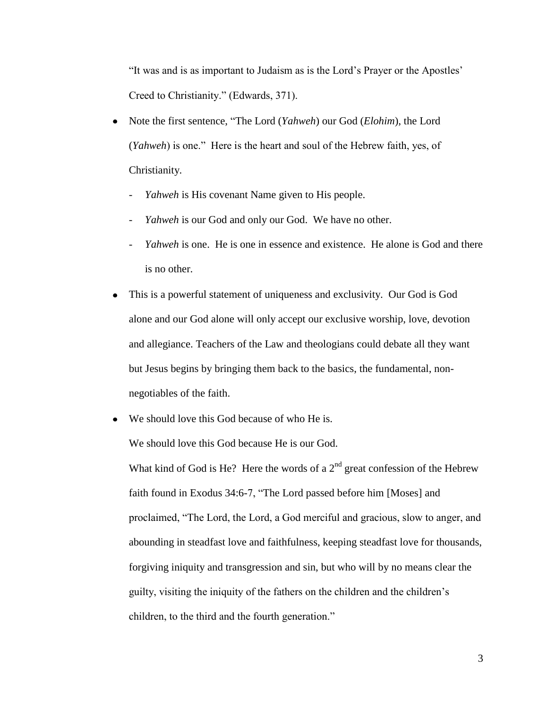"It was and is as important to Judaism as is the Lord's Prayer or the Apostles' Creed to Christianity." (Edwards, 371).

- Note the first sentence, "The Lord (*Yahweh*) our God (*Elohim*), the Lord  $\bullet$ (*Yahweh*) is one." Here is the heart and soul of the Hebrew faith, yes, of Christianity.
	- *Yahweh* is His covenant Name given to His people.
	- *Yahweh* is our God and only our God. We have no other.
	- *Yahweh* is one. He is one in essence and existence. He alone is God and there is no other.
- This is a powerful statement of uniqueness and exclusivity. Our God is God  $\bullet$ alone and our God alone will only accept our exclusive worship, love, devotion and allegiance. Teachers of the Law and theologians could debate all they want but Jesus begins by bringing them back to the basics, the fundamental, nonnegotiables of the faith.
- We should love this God because of who He is.  $\bullet$

We should love this God because He is our God.

What kind of God is He? Here the words of a  $2<sup>nd</sup>$  great confession of the Hebrew faith found in Exodus 34:6-7, "The Lord passed before him [Moses] and proclaimed, "The Lord, the Lord, a God merciful and gracious, slow to anger, and abounding in steadfast love and faithfulness, keeping steadfast love for thousands, forgiving iniquity and transgression and sin, but who will by no means clear the guilty, visiting the iniquity of the fathers on the children and the children's children, to the third and the fourth generation."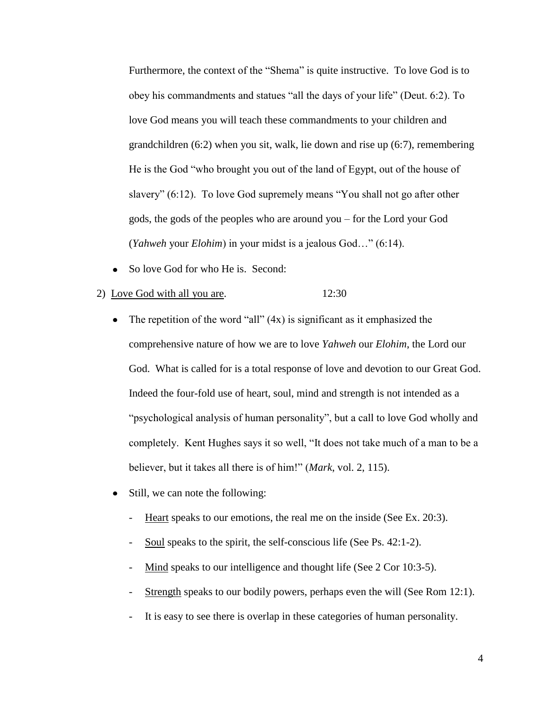Furthermore, the context of the "Shema" is quite instructive. To love God is to obey his commandments and statues "all the days of your life" (Deut. 6:2). To love God means you will teach these commandments to your children and grandchildren (6:2) when you sit, walk, lie down and rise up (6:7), remembering He is the God "who brought you out of the land of Egypt, out of the house of slavery" (6:12). To love God supremely means "You shall not go after other gods, the gods of the peoples who are around you – for the Lord your God (*Yahweh* your *Elohim*) in your midst is a jealous God…" (6:14).

So love God for who He is. Second:

### 2) Love God with all you are. 12:30

- $\bullet$ The repetition of the word "all" (4x) is significant as it emphasized the comprehensive nature of how we are to love *Yahweh* our *Elohim*, the Lord our God. What is called for is a total response of love and devotion to our Great God. Indeed the four-fold use of heart, soul, mind and strength is not intended as a "psychological analysis of human personality", but a call to love God wholly and completely. Kent Hughes says it so well, "It does not take much of a man to be a believer, but it takes all there is of him!" (*Mark*, vol. 2, 115).
- Still, we can note the following:  $\bullet$ 
	- Heart speaks to our emotions, the real me on the inside (See Ex. 20:3).
	- Soul speaks to the spirit, the self-conscious life (See Ps. 42:1-2).
	- Mind speaks to our intelligence and thought life (See 2 Cor 10:3-5).
	- Strength speaks to our bodily powers, perhaps even the will (See Rom 12:1).
	- It is easy to see there is overlap in these categories of human personality.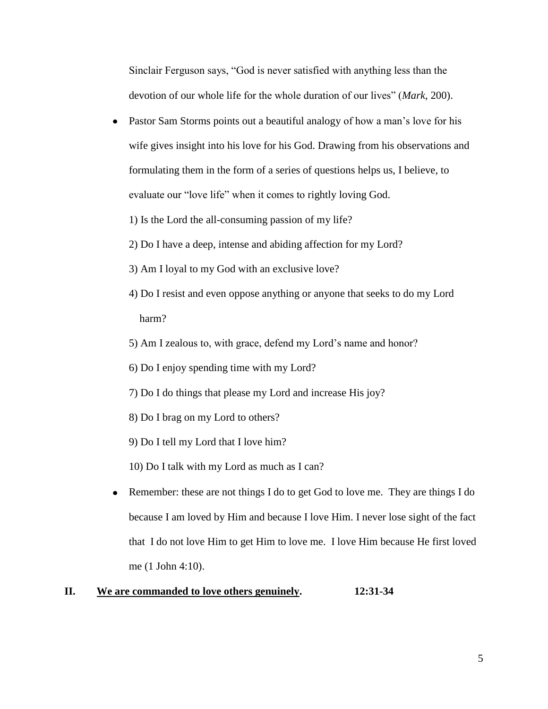Sinclair Ferguson says, "God is never satisfied with anything less than the devotion of our whole life for the whole duration of our lives" (*Mark*, 200).

- Pastor Sam Storms points out a beautiful analogy of how a man's love for his  $\bullet$ wife gives insight into his love for his God. Drawing from his observations and formulating them in the form of a series of questions helps us, I believe, to evaluate our "love life" when it comes to rightly loving God.
	- 1) Is the Lord the all-consuming passion of my life?
	- 2) Do I have a deep, intense and abiding affection for my Lord?
	- 3) Am I loyal to my God with an exclusive love?
	- 4) Do I resist and even oppose anything or anyone that seeks to do my Lord harm?
	- 5) Am I zealous to, with grace, defend my Lord's name and honor?
	- 6) Do I enjoy spending time with my Lord?
	- 7) Do I do things that please my Lord and increase His joy?
	- 8) Do I brag on my Lord to others?
	- 9) Do I tell my Lord that I love him?
	- 10) Do I talk with my Lord as much as I can?
- Remember: these are not things I do to get God to love me. They are things I do because I am loved by Him and because I love Him. I never lose sight of the fact that I do not love Him to get Him to love me. I love Him because He first loved me (1 John 4:10).

# **II. We are commanded to love others genuinely. 12:31-34**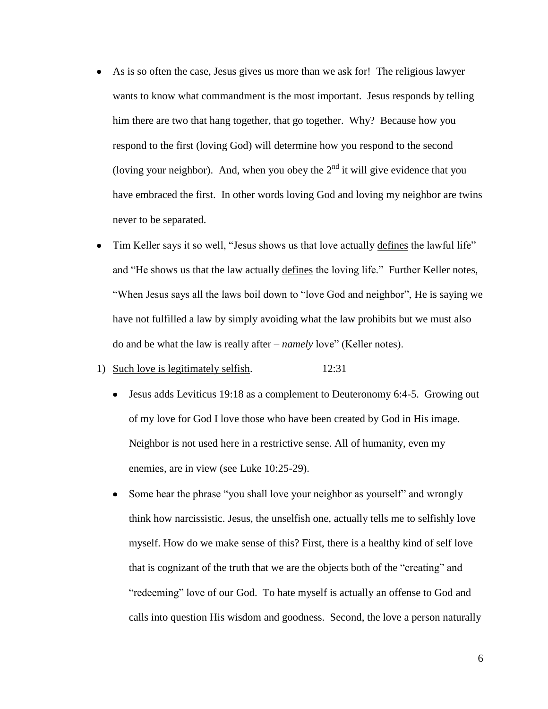- As is so often the case, Jesus gives us more than we ask for! The religious lawyer wants to know what commandment is the most important. Jesus responds by telling him there are two that hang together, that go together. Why? Because how you respond to the first (loving God) will determine how you respond to the second (loving your neighbor). And, when you obey the  $2<sup>nd</sup>$  it will give evidence that you have embraced the first. In other words loving God and loving my neighbor are twins never to be separated.
- Tim Keller says it so well, "Jesus shows us that love actually defines the lawful life"  $\bullet$ and "He shows us that the law actually defines the loving life." Further Keller notes, "When Jesus says all the laws boil down to "love God and neighbor", He is saying we have not fulfilled a law by simply avoiding what the law prohibits but we must also do and be what the law is really after – *namely* love" (Keller notes).

### 1) Such love is legitimately selfish. 12:31

- Jesus adds Leviticus 19:18 as a complement to Deuteronomy 6:4-5. Growing out of my love for God I love those who have been created by God in His image. Neighbor is not used here in a restrictive sense. All of humanity, even my enemies, are in view (see Luke 10:25-29).
- Some hear the phrase "you shall love your neighbor as yourself" and wrongly  $\bullet$ think how narcissistic. Jesus, the unselfish one, actually tells me to selfishly love myself. How do we make sense of this? First, there is a healthy kind of self love that is cognizant of the truth that we are the objects both of the "creating" and "redeeming" love of our God. To hate myself is actually an offense to God and calls into question His wisdom and goodness. Second, the love a person naturally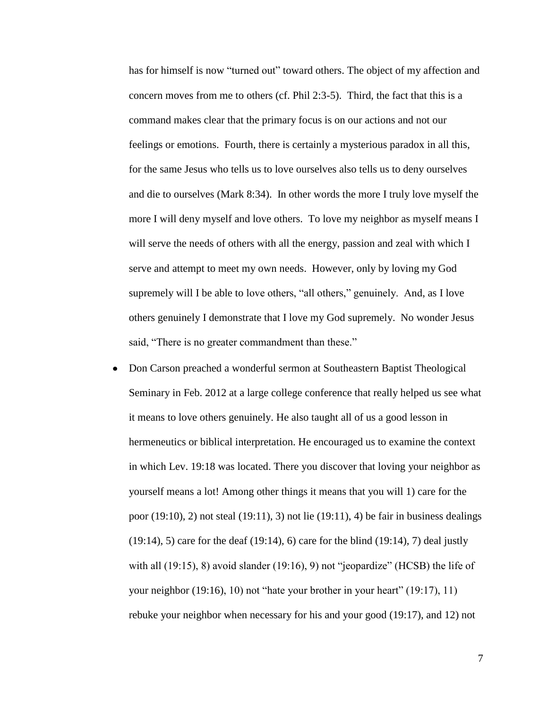has for himself is now "turned out" toward others. The object of my affection and concern moves from me to others (cf. Phil 2:3-5). Third, the fact that this is a command makes clear that the primary focus is on our actions and not our feelings or emotions. Fourth, there is certainly a mysterious paradox in all this, for the same Jesus who tells us to love ourselves also tells us to deny ourselves and die to ourselves (Mark 8:34). In other words the more I truly love myself the more I will deny myself and love others. To love my neighbor as myself means I will serve the needs of others with all the energy, passion and zeal with which I serve and attempt to meet my own needs. However, only by loving my God supremely will I be able to love others, "all others," genuinely. And, as I love others genuinely I demonstrate that I love my God supremely. No wonder Jesus said, "There is no greater commandment than these."

Don Carson preached a wonderful sermon at Southeastern Baptist Theological Seminary in Feb. 2012 at a large college conference that really helped us see what it means to love others genuinely. He also taught all of us a good lesson in hermeneutics or biblical interpretation. He encouraged us to examine the context in which Lev. 19:18 was located. There you discover that loving your neighbor as yourself means a lot! Among other things it means that you will 1) care for the poor (19:10), 2) not steal (19:11), 3) not lie (19:11), 4) be fair in business dealings (19:14), 5) care for the deaf (19:14), 6) care for the blind (19:14), 7) deal justly with all (19:15), 8) avoid slander (19:16), 9) not "jeopardize" (HCSB) the life of your neighbor (19:16), 10) not "hate your brother in your heart" (19:17), 11) rebuke your neighbor when necessary for his and your good (19:17), and 12) not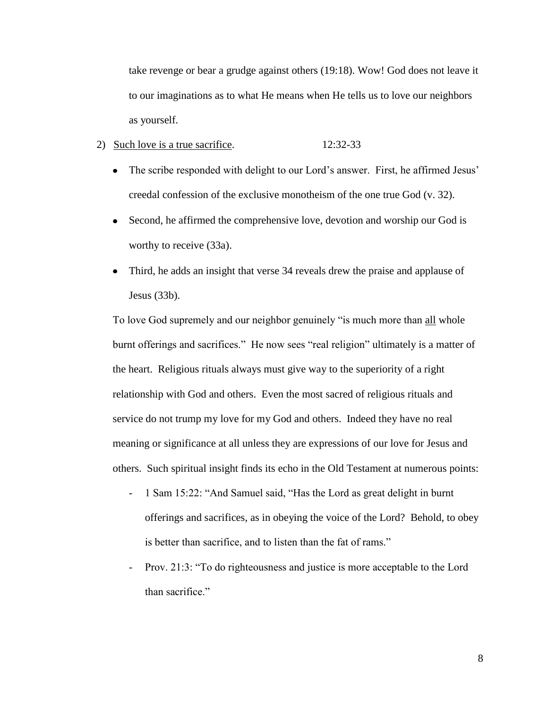take revenge or bear a grudge against others (19:18). Wow! God does not leave it to our imaginations as to what He means when He tells us to love our neighbors as yourself.

### 2) Such love is a true sacrifice. 12:32-33

- The scribe responded with delight to our Lord's answer. First, he affirmed Jesus' creedal confession of the exclusive monotheism of the one true God (v. 32).
- $\bullet$ Second, he affirmed the comprehensive love, devotion and worship our God is worthy to receive (33a).
- Third, he adds an insight that verse 34 reveals drew the praise and applause of Jesus (33b).

To love God supremely and our neighbor genuinely "is much more than all whole burnt offerings and sacrifices." He now sees "real religion" ultimately is a matter of the heart. Religious rituals always must give way to the superiority of a right relationship with God and others. Even the most sacred of religious rituals and service do not trump my love for my God and others. Indeed they have no real meaning or significance at all unless they are expressions of our love for Jesus and others. Such spiritual insight finds its echo in the Old Testament at numerous points:

- 1 Sam 15:22: "And Samuel said, "Has the Lord as great delight in burnt offerings and sacrifices, as in obeying the voice of the Lord? Behold, to obey is better than sacrifice, and to listen than the fat of rams."
- Prov. 21:3: "To do righteousness and justice is more acceptable to the Lord than sacrifice."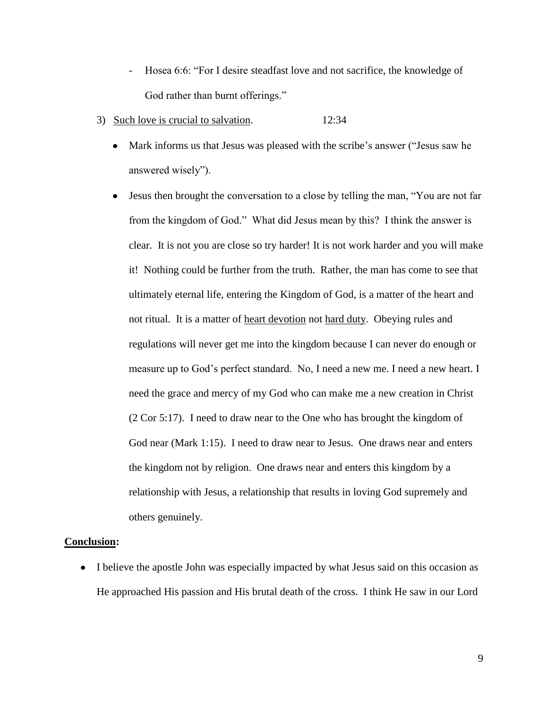- Hosea 6:6: "For I desire steadfast love and not sacrifice, the knowledge of God rather than burnt offerings."
- 3) Such love is crucial to salvation. 12:34
	- Mark informs us that Jesus was pleased with the scribe's answer ("Jesus saw he answered wisely").
	- Jesus then brought the conversation to a close by telling the man, "You are not far  $\bullet$ from the kingdom of God." What did Jesus mean by this? I think the answer is clear. It is not you are close so try harder! It is not work harder and you will make it! Nothing could be further from the truth. Rather, the man has come to see that ultimately eternal life, entering the Kingdom of God, is a matter of the heart and not ritual. It is a matter of heart devotion not hard duty. Obeying rules and regulations will never get me into the kingdom because I can never do enough or measure up to God's perfect standard. No, I need a new me. I need a new heart. I need the grace and mercy of my God who can make me a new creation in Christ (2 Cor 5:17). I need to draw near to the One who has brought the kingdom of God near (Mark 1:15). I need to draw near to Jesus. One draws near and enters the kingdom not by religion. One draws near and enters this kingdom by a relationship with Jesus, a relationship that results in loving God supremely and others genuinely.

# **Conclusion:**

• I believe the apostle John was especially impacted by what Jesus said on this occasion as He approached His passion and His brutal death of the cross. I think He saw in our Lord